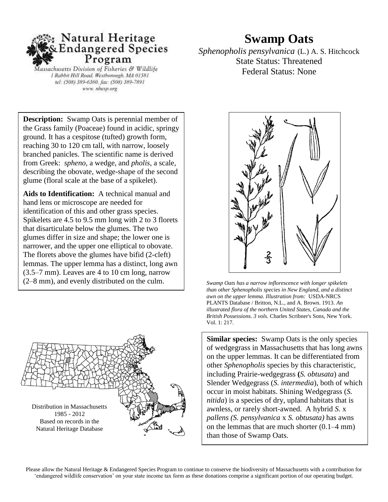

Aassachusetts Division of Fisheries & Wildlife 1 Rabbit Hill Road, Westborough, MA 01581 tel: (508) 389-6360, fax: (508) 389-7891 www. nhesp.org

## **Swamp Oats**

*Sphenopholis pensylvanica* (L.) A. S. Hitchcock State Status: Threatened Federal Status: None

**Description:** Swamp Oats is perennial member of the Grass family (Poaceae) found in acidic, springy ground. It has a cespitose (tufted) growth form, reaching 30 to 120 cm tall, with narrow, loosely branched panicles. The scientific name is derived from Greek: *spheno,* a wedge, and *pholis*, a scale, describing the obovate, wedge-shape of the second glume (floral scale at the base of a spikelet).

**Aids to Identification:** A technical manual and hand lens or microscope are needed for identification of this and other grass species. Spikelets are 4.5 to 9.5 mm long with 2 to 3 florets that disarticulate below the glumes. The two glumes differ in size and shape; the lower one is narrower, and the upper one elliptical to obovate. The florets above the glumes have bifid (2-cleft) lemmas. The upper lemma has a distinct, long awn (3.5–7 mm). Leaves are 4 to 10 cm long, narrow (2–8 mm), and evenly distributed on the culm.





Swamp Oats has a narrow inflorescence with longer spikelets than other Sphenopholis species in New England, and a distinct *awn on the upper lemma. Illustration from:* USDA-NRCS  PLANTS Database / Britton, N.L., and A. Brown. 1913. *An*  illustrated flora of the northern United States, Canada and the *British Possessions. 3 vols.* Charles Scribner's Sons, New York. Vol. 1: 217.

**Similar species:** Swamp Oats is the only species of wedgegrass in Massachusetts that has long awns on the upper lemmas. It can be differentiated from other *Sphenopholis* species by this characteristic, including Prairie-wedgegrass **(***S. obtusata*) and Slender Wedgegrass (*S. intermedia*), both of which occur in moist habitats. Shining Wedgegrass (*S. nitida*) is a species of dry, upland habitats that is awnless, or rarely short-awned. A hybrid *S*. x *pallens (S. pensylvanica* x *S. obtusata)* has awns on the lemmas that are much shorter (0.1–4 mm) than those of Swamp Oats.

 Please allow the Natural Heritage & Endangered Species Program to continue to conserve the biodiversity of Massachusetts with a contribution for 'endangered wildlife conservation' on your state income tax form as these donations comprise a significant portion of our operating budget.